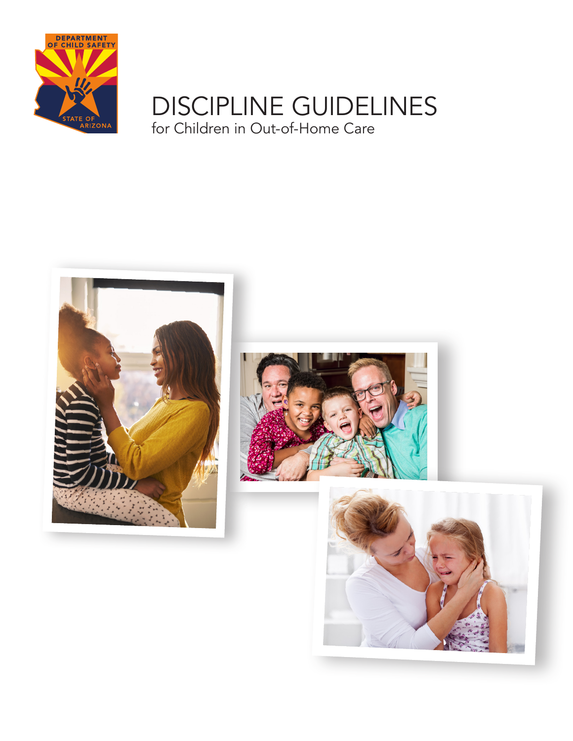

# DISCIPLINE GUIDELINES for Children in Out-of-Home Care





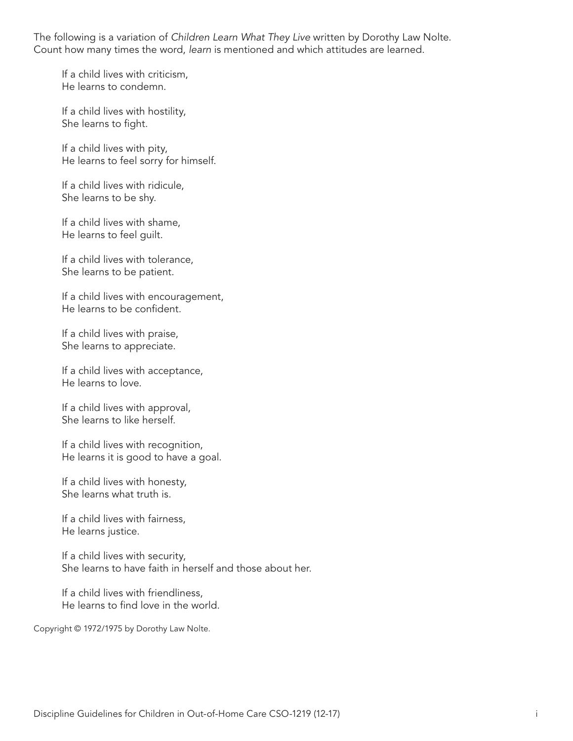The following is a variation of *Children Learn What They Live* written by Dorothy Law Nolte. Count how many times the word, *learn* is mentioned and which attitudes are learned.

If a child lives with criticism, He learns to condemn.

If a child lives with hostility, She learns to fight.

If a child lives with pity, He learns to feel sorry for himself.

If a child lives with ridicule, She learns to be shy.

If a child lives with shame, He learns to feel guilt.

If a child lives with tolerance, She learns to be patient.

If a child lives with encouragement, He learns to be confident.

If a child lives with praise, She learns to appreciate.

If a child lives with acceptance, He learns to love.

If a child lives with approval, She learns to like herself.

If a child lives with recognition, He learns it is good to have a goal.

If a child lives with honesty, She learns what truth is.

If a child lives with fairness, He learns justice.

If a child lives with security, She learns to have faith in herself and those about her.

If a child lives with friendliness, He learns to find love in the world.

Copyright © 1972/1975 by Dorothy Law Nolte.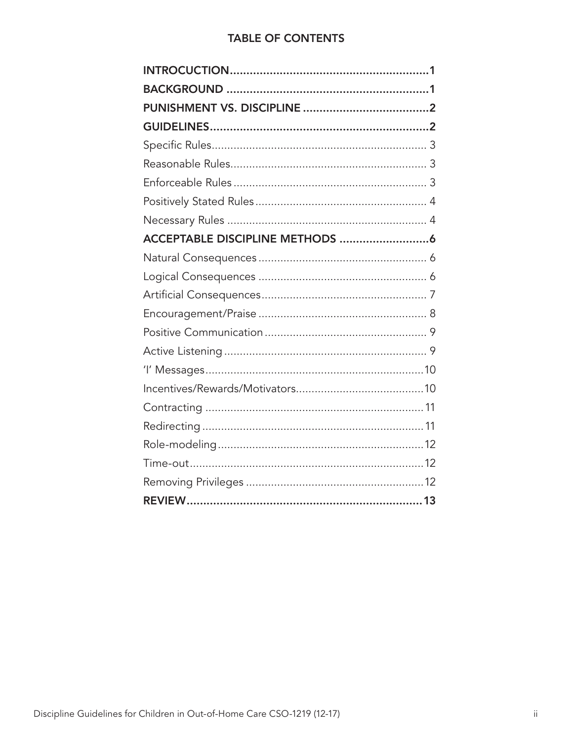# **TABLE OF CONTENTS**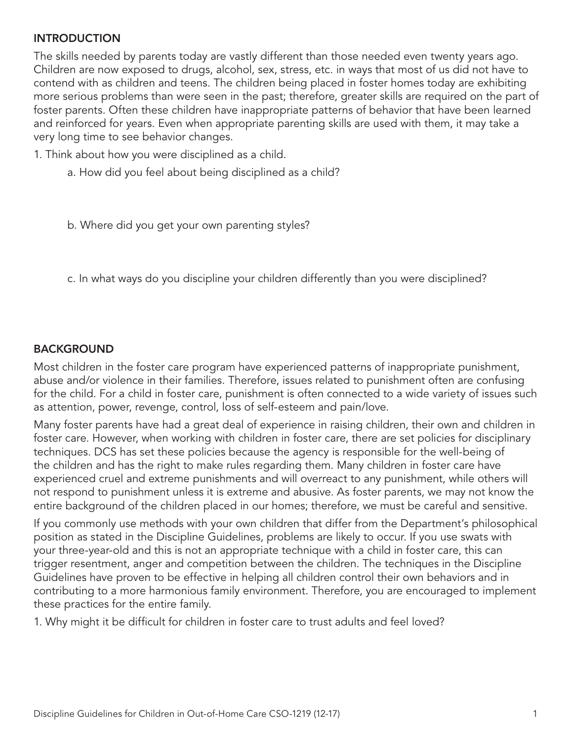## **INTRODUCTION**

The skills needed by parents today are vastly different than those needed even twenty years ago. Children are now exposed to drugs, alcohol, sex, stress, etc. in ways that most of us did not have to contend with as children and teens. The children being placed in foster homes today are exhibiting more serious problems than were seen in the past; therefore, greater skills are required on the part of foster parents. Often these children have inappropriate patterns of behavior that have been learned and reinforced for years. Even when appropriate parenting skills are used with them, it may take a very long time to see behavior changes.

- 1. Think about how you were disciplined as a child.
	- a. How did you feel about being disciplined as a child?

b. Where did you get your own parenting styles?

c. In what ways do you discipline your children differently than you were disciplined?

#### BACKGROUND

Most children in the foster care program have experienced patterns of inappropriate punishment, abuse and/or violence in their families. Therefore, issues related to punishment often are confusing for the child. For a child in foster care, punishment is often connected to a wide variety of issues such as attention, power, revenge, control, loss of self-esteem and pain/love.

Many foster parents have had a great deal of experience in raising children, their own and children in foster care. However, when working with children in foster care, there are set policies for disciplinary techniques. DCS has set these policies because the agency is responsible for the well-being of the children and has the right to make rules regarding them. Many children in foster care have experienced cruel and extreme punishments and will overreact to any punishment, while others will not respond to punishment unless it is extreme and abusive. As foster parents, we may not know the entire background of the children placed in our homes; therefore, we must be careful and sensitive.

If you commonly use methods with your own children that differ from the Department's philosophical position as stated in the Discipline Guidelines, problems are likely to occur. If you use swats with your three-year-old and this is not an appropriate technique with a child in foster care, this can trigger resentment, anger and competition between the children. The techniques in the Discipline Guidelines have proven to be effective in helping all children control their own behaviors and in contributing to a more harmonious family environment. Therefore, you are encouraged to implement these practices for the entire family.

1. Why might it be difficult for children in foster care to trust adults and feel loved?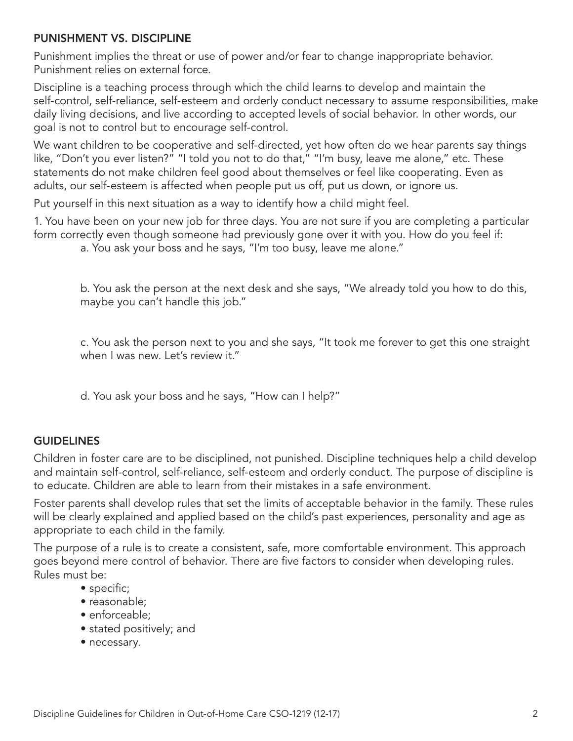#### PUNISHMENT VS. DISCIPLINE

Punishment implies the threat or use of power and/or fear to change inappropriate behavior. Punishment relies on external force.

Discipline is a teaching process through which the child learns to develop and maintain the self-control, self-reliance, self-esteem and orderly conduct necessary to assume responsibilities, make daily living decisions, and live according to accepted levels of social behavior. In other words, our goal is not to control but to encourage self-control.

We want children to be cooperative and self-directed, yet how often do we hear parents say things like, "Don't you ever listen?" "I told you not to do that," "I'm busy, leave me alone," etc. These statements do not make children feel good about themselves or feel like cooperating. Even as adults, our self-esteem is affected when people put us off, put us down, or ignore us.

Put yourself in this next situation as a way to identify how a child might feel.

1. You have been on your new job for three days. You are not sure if you are completing a particular form correctly even though someone had previously gone over it with you. How do you feel if: a. You ask your boss and he says, "I'm too busy, leave me alone."

b. You ask the person at the next desk and she says, "We already told you how to do this, maybe you can't handle this job."

c. You ask the person next to you and she says, "It took me forever to get this one straight when I was new. Let's review it."

d. You ask your boss and he says, "How can I help?"

## **GUIDELINES**

Children in foster care are to be disciplined, not punished. Discipline techniques help a child develop and maintain self-control, self-reliance, self-esteem and orderly conduct. The purpose of discipline is to educate. Children are able to learn from their mistakes in a safe environment.

Foster parents shall develop rules that set the limits of acceptable behavior in the family. These rules will be clearly explained and applied based on the child's past experiences, personality and age as appropriate to each child in the family.

The purpose of a rule is to create a consistent, safe, more comfortable environment. This approach goes beyond mere control of behavior. There are five factors to consider when developing rules. Rules must be:

- specific;
- reasonable;
- enforceable:
- stated positively; and
- necessary.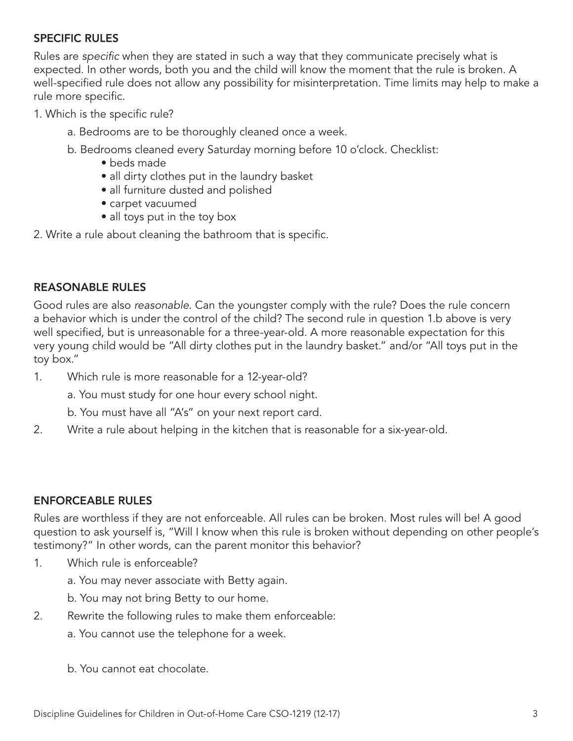## SPECIFIC RULES

Rules are *specific* when they are stated in such a way that they communicate precisely what is expected. In other words, both you and the child will know the moment that the rule is broken. A well-specified rule does not allow any possibility for misinterpretation. Time limits may help to make a rule more specific.

- 1. Which is the specific rule?
	- a. Bedrooms are to be thoroughly cleaned once a week.
	- b. Bedrooms cleaned every Saturday morning before 10 o'clock. Checklist:
		- beds made
		- all dirty clothes put in the laundry basket
		- all furniture dusted and polished
		- carpet vacuumed
		- all toys put in the toy box

2. Write a rule about cleaning the bathroom that is specific.

## REASONABLE RULES

Good rules are also *reasonable*. Can the youngster comply with the rule? Does the rule concern a behavior which is under the control of the child? The second rule in question 1.b above is very well specified, but is unreasonable for a three-year-old. A more reasonable expectation for this very young child would be "All dirty clothes put in the laundry basket." and/or "All toys put in the toy box."

1. Which rule is more reasonable for a 12-year-old?

a. You must study for one hour every school night.

- b. You must have all "A's" on your next report card.
- 2. Write a rule about helping in the kitchen that is reasonable for a six-year-old.

## ENFORCEABLE RULES

Rules are worthless if they are not enforceable. All rules can be broken. Most rules will be! A good question to ask yourself is, "Will I know when this rule is broken without depending on other people's testimony?" In other words, can the parent monitor this behavior?

- 1. Which rule is enforceable?
	- a. You may never associate with Betty again.
	- b. You may not bring Betty to our home.
- 2. Rewrite the following rules to make them enforceable:
	- a. You cannot use the telephone for a week.
	- b. You cannot eat chocolate.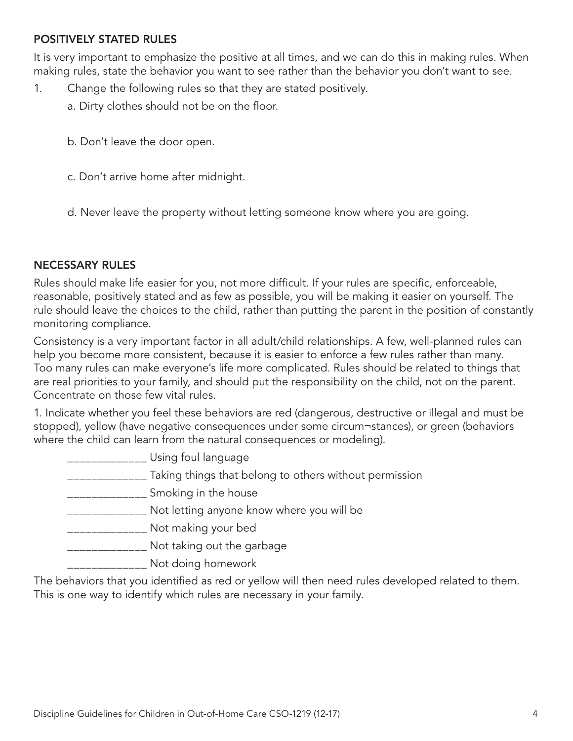#### POSITIVELY STATED RULES

It is very important to emphasize the positive at all times, and we can do this in making rules. When making rules, state the behavior you want to see rather than the behavior you don't want to see.

- 1. Change the following rules so that they are stated positively.
	- a. Dirty clothes should not be on the floor.
	- b. Don't leave the door open.
	- c. Don't arrive home after midnight.
	- d. Never leave the property without letting someone know where you are going.

#### NECESSARY RULES

Rules should make life easier for you, not more difficult. If your rules are specific, enforceable, reasonable, positively stated and as few as possible, you will be making it easier on yourself. The rule should leave the choices to the child, rather than putting the parent in the position of constantly monitoring compliance.

Consistency is a very important factor in all adult/child relationships. A few, well-planned rules can help you become more consistent, because it is easier to enforce a few rules rather than many. Too many rules can make everyone's life more complicated. Rules should be related to things that are real priorities to your family, and should put the responsibility on the child, not on the parent. Concentrate on those few vital rules.

1. Indicate whether you feel these behaviors are red (dangerous, destructive or illegal and must be stopped), yellow (have negative consequences under some circum¬stances), or green (behaviors where the child can learn from the natural consequences or modeling).

| Using foul language                                    |
|--------------------------------------------------------|
| Taking things that belong to others without permission |
| Smoking in the house                                   |
| Not letting anyone know where you will be              |
| Not making your bed                                    |
| Not taking out the garbage                             |
| Not doing homework                                     |

The behaviors that you identified as red or yellow will then need rules developed related to them. This is one way to identify which rules are necessary in your family.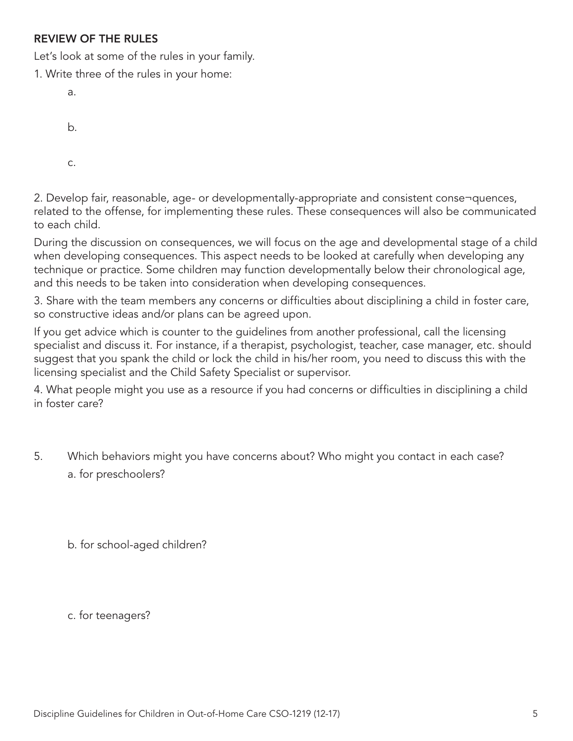## REVIEW OF THE RULES

Let's look at some of the rules in your family.

1. Write three of the rules in your home:

| a. |  |  |  |
|----|--|--|--|
| b. |  |  |  |
| C. |  |  |  |

2. Develop fair, reasonable, age- or developmentally-appropriate and consistent conse¬quences, related to the offense, for implementing these rules. These consequences will also be communicated to each child.

During the discussion on consequences, we will focus on the age and developmental stage of a child when developing consequences. This aspect needs to be looked at carefully when developing any technique or practice. Some children may function developmentally below their chronological age, and this needs to be taken into consideration when developing consequences.

3. Share with the team members any concerns or difficulties about disciplining a child in foster care, so constructive ideas and/or plans can be agreed upon.

If you get advice which is counter to the guidelines from another professional, call the licensing specialist and discuss it. For instance, if a therapist, psychologist, teacher, case manager, etc. should suggest that you spank the child or lock the child in his/her room, you need to discuss this with the licensing specialist and the Child Safety Specialist or supervisor.

4. What people might you use as a resource if you had concerns or difficulties in disciplining a child in foster care?

5. Which behaviors might you have concerns about? Who might you contact in each case? a. for preschoolers?

b. for school-aged children?

c. for teenagers?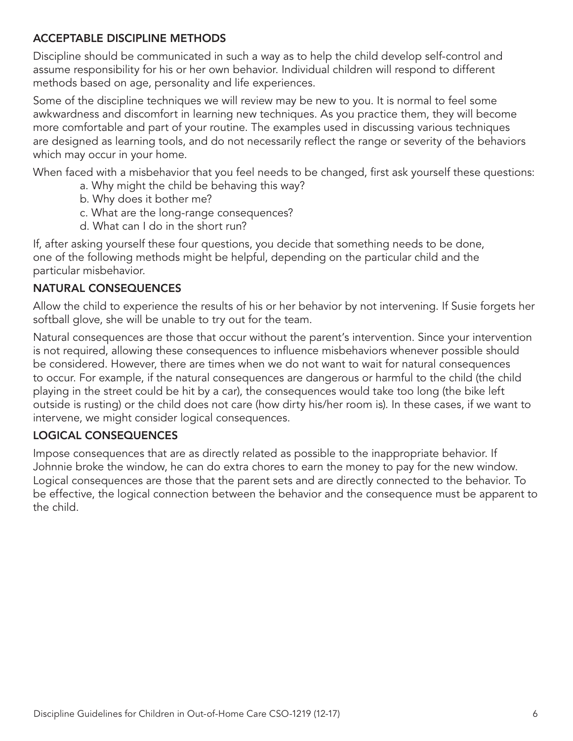# ACCEPTABLE DISCIPLINE METHODS

Discipline should be communicated in such a way as to help the child develop self-control and assume responsibility for his or her own behavior. Individual children will respond to different methods based on age, personality and life experiences.

Some of the discipline techniques we will review may be new to you. It is normal to feel some awkwardness and discomfort in learning new techniques. As you practice them, they will become more comfortable and part of your routine. The examples used in discussing various techniques are designed as learning tools, and do not necessarily reflect the range or severity of the behaviors which may occur in your home.

When faced with a misbehavior that you feel needs to be changed, first ask yourself these questions:

- a. Why might the child be behaving this way?
- b. Why does it bother me?
- c. What are the long-range consequences?
- d. What can I do in the short run?

If, after asking yourself these four questions, you decide that something needs to be done, one of the following methods might be helpful, depending on the particular child and the particular misbehavior.

# NATURAL CONSEQUENCES

Allow the child to experience the results of his or her behavior by not intervening. If Susie forgets her softball glove, she will be unable to try out for the team.

Natural consequences are those that occur without the parent's intervention. Since your intervention is not required, allowing these consequences to influence misbehaviors whenever possible should be considered. However, there are times when we do not want to wait for natural consequences to occur. For example, if the natural consequences are dangerous or harmful to the child (the child playing in the street could be hit by a car), the consequences would take too long (the bike left outside is rusting) or the child does not care (how dirty his/her room is). In these cases, if we want to intervene, we might consider logical consequences.

## LOGICAL CONSEQUENCES

Impose consequences that are as directly related as possible to the inappropriate behavior. If Johnnie broke the window, he can do extra chores to earn the money to pay for the new window. Logical consequences are those that the parent sets and are directly connected to the behavior. To be effective, the logical connection between the behavior and the consequence must be apparent to the child.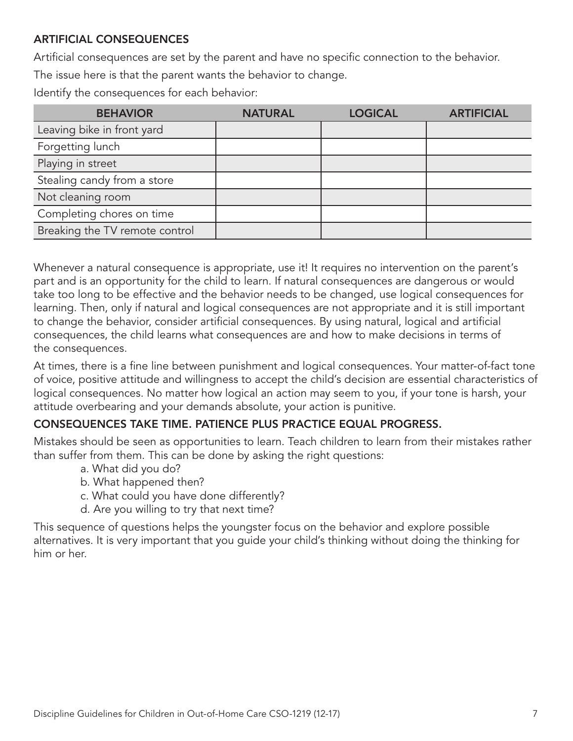# ARTIFICIAL CONSEQUENCES

Artificial consequences are set by the parent and have no specific connection to the behavior. The issue here is that the parent wants the behavior to change.

Identify the consequences for each behavior:

| <b>BEHAVIOR</b>                | <b>NATURAL</b> | <b>LOGICAL</b> | <b>ARTIFICIAL</b> |
|--------------------------------|----------------|----------------|-------------------|
| Leaving bike in front yard     |                |                |                   |
| Forgetting lunch               |                |                |                   |
| Playing in street              |                |                |                   |
| Stealing candy from a store    |                |                |                   |
| Not cleaning room              |                |                |                   |
| Completing chores on time      |                |                |                   |
| Breaking the TV remote control |                |                |                   |

Whenever a natural consequence is appropriate, use it! It requires no intervention on the parent's part and is an opportunity for the child to learn. If natural consequences are dangerous or would take too long to be effective and the behavior needs to be changed, use logical consequences for learning. Then, only if natural and logical consequences are not appropriate and it is still important to change the behavior, consider artificial consequences. By using natural, logical and artificial consequences, the child learns what consequences are and how to make decisions in terms of the consequences.

At times, there is a fine line between punishment and logical consequences. Your matter-of-fact tone of voice, positive attitude and willingness to accept the child's decision are essential characteristics of logical consequences. No matter how logical an action may seem to you, if your tone is harsh, your attitude overbearing and your demands absolute, your action is punitive.

## CONSEQUENCES TAKE TIME. PATIENCE PLUS PRACTICE EQUAL PROGRESS.

Mistakes should be seen as opportunities to learn. Teach children to learn from their mistakes rather than suffer from them. This can be done by asking the right questions:

- a. What did you do?
- b. What happened then?
- c. What could you have done differently?
- d. Are you willing to try that next time?

This sequence of questions helps the youngster focus on the behavior and explore possible alternatives. It is very important that you guide your child's thinking without doing the thinking for him or her.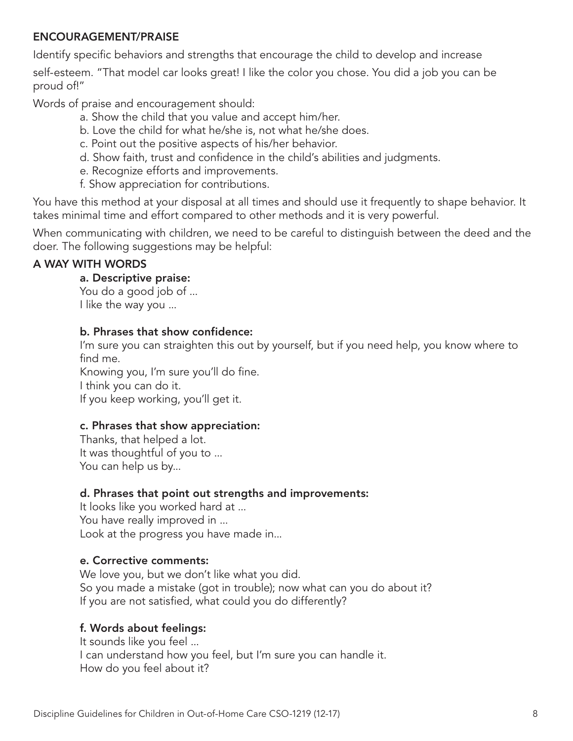#### ENCOURAGEMENT/PRAISE

Identify specific behaviors and strengths that encourage the child to develop and increase self-esteem. "That model car looks great! I like the color you chose. You did a job you can be proud of!"

Words of praise and encouragement should:

- a. Show the child that you value and accept him/her.
- b. Love the child for what he/she is, not what he/she does.
- c. Point out the positive aspects of his/her behavior.
- d. Show faith, trust and confidence in the child's abilities and judgments.
- e. Recognize efforts and improvements.
- f. Show appreciation for contributions.

You have this method at your disposal at all times and should use it frequently to shape behavior. It takes minimal time and effort compared to other methods and it is very powerful.

When communicating with children, we need to be careful to distinguish between the deed and the doer. The following suggestions may be helpful:

# A WAY WITH WORDS

# a. Descriptive praise:

You do a good job of ... I like the way you ...

# b. Phrases that show confidence:

I'm sure you can straighten this out by yourself, but if you need help, you know where to find me.

Knowing you, I'm sure you'll do fine. I think you can do it.

If you keep working, you'll get it.

# c. Phrases that show appreciation:

Thanks, that helped a lot. It was thoughtful of you to ... You can help us by...

# d. Phrases that point out strengths and improvements:

It looks like you worked hard at ... You have really improved in ... Look at the progress you have made in...

## e. Corrective comments:

We love you, but we don't like what you did. So you made a mistake (got in trouble); now what can you do about it? If you are not satisfied, what could you do differently?

# f. Words about feelings:

It sounds like you feel ... I can understand how you feel, but I'm sure you can handle it. How do you feel about it?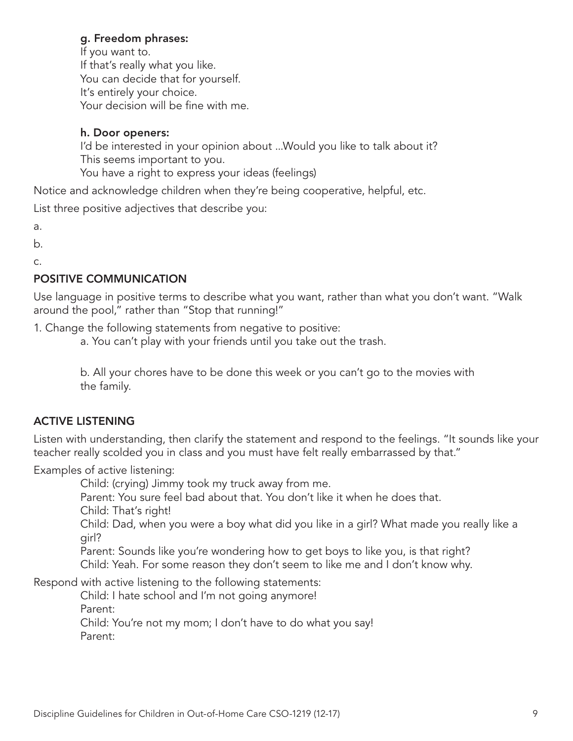#### g. Freedom phrases:

If you want to. If that's really what you like. You can decide that for yourself. It's entirely your choice. Your decision will be fine with me.

#### h. Door openers:

I'd be interested in your opinion about ...Would you like to talk about it? This seems important to you. You have a right to express your ideas (feelings)

Notice and acknowledge children when they're being cooperative, helpful, etc.

List three positive adjectives that describe you:

a.

b.

c.

# POSITIVE COMMUNICATION

Use language in positive terms to describe what you want, rather than what you don't want. "Walk around the pool," rather than "Stop that running!"

1. Change the following statements from negative to positive:

a. You can't play with your friends until you take out the trash.

b. All your chores have to be done this week or you can't go to the movies with the family.

## ACTIVE LISTENING

Listen with understanding, then clarify the statement and respond to the feelings. "It sounds like your teacher really scolded you in class and you must have felt really embarrassed by that."

Examples of active listening:

Child: (crying) Jimmy took my truck away from me.

Parent: You sure feel bad about that. You don't like it when he does that.

Child: That's right!

Child: Dad, when you were a boy what did you like in a girl? What made you really like a girl?

Parent: Sounds like you're wondering how to get boys to like you, is that right? Child: Yeah. For some reason they don't seem to like me and I don't know why.

Respond with active listening to the following statements:

Child: I hate school and I'm not going anymore! Parent: Child: You're not my mom; I don't have to do what you say! Parent: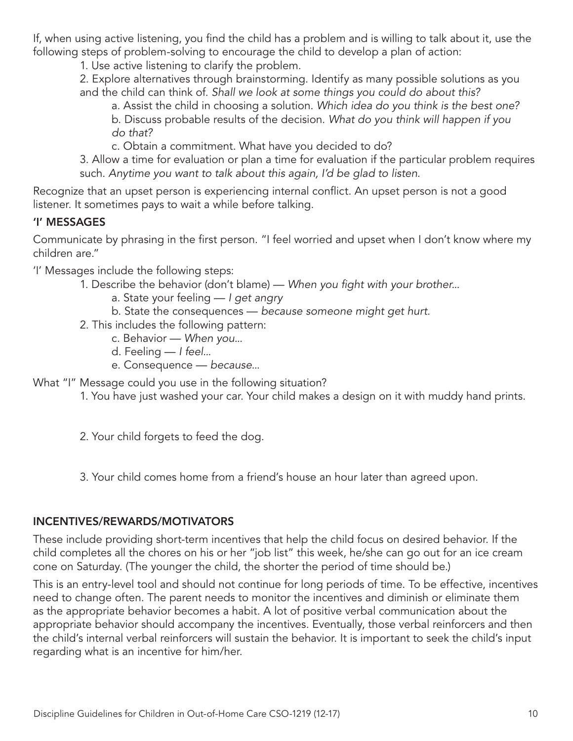If, when using active listening, you find the child has a problem and is willing to talk about it, use the following steps of problem-solving to encourage the child to develop a plan of action:

1. Use active listening to clarify the problem.

2. Explore alternatives through brainstorming. Identify as many possible solutions as you and the child can think of. *Shall we look at some things you could do about this?*

a. Assist the child in choosing a solution. *Which idea do you think is the best one?* b. Discuss probable results of the decision. *What do you think will happen if you do that?*

c. Obtain a commitment. What have you decided to do?

3. Allow a time for evaluation or plan a time for evaluation if the particular problem requires such. *Anytime you want to talk about this again, I'd be glad to listen.*

Recognize that an upset person is experiencing internal conflict. An upset person is not a good listener. It sometimes pays to wait a while before talking.

# 'I' MESSAGES

Communicate by phrasing in the first person. "I feel worried and upset when I don't know where my children are."

'I' Messages include the following steps:

- 1. Describe the behavior (don't blame) — *When you fight with your brother...*
	- a. State your feeling *I get angry*
	- b. State the consequences *because someone might get hurt.*
- 2. This includes the following pattern:
	- c. Behavior *When you...*
	- d. Feeling *I feel...*
	- e. Consequence *because...*

What "I" Message could you use in the following situation?

1. You have just washed your car. Your child makes a design on it with muddy hand prints.

2. Your child forgets to feed the dog.

3. Your child comes home from a friend's house an hour later than agreed upon.

# INCENTIVES/REWARDS/MOTIVATORS

These include providing short-term incentives that help the child focus on desired behavior. If the child completes all the chores on his or her "job list" this week, he/she can go out for an ice cream cone on Saturday. (The younger the child, the shorter the period of time should be.)

This is an entry-level tool and should not continue for long periods of time. To be effective, incentives need to change often. The parent needs to monitor the incentives and diminish or eliminate them as the appropriate behavior becomes a habit. A lot of positive verbal communication about the appropriate behavior should accompany the incentives. Eventually, those verbal reinforcers and then the child's internal verbal reinforcers will sustain the behavior. It is important to seek the child's input regarding what is an incentive for him/her.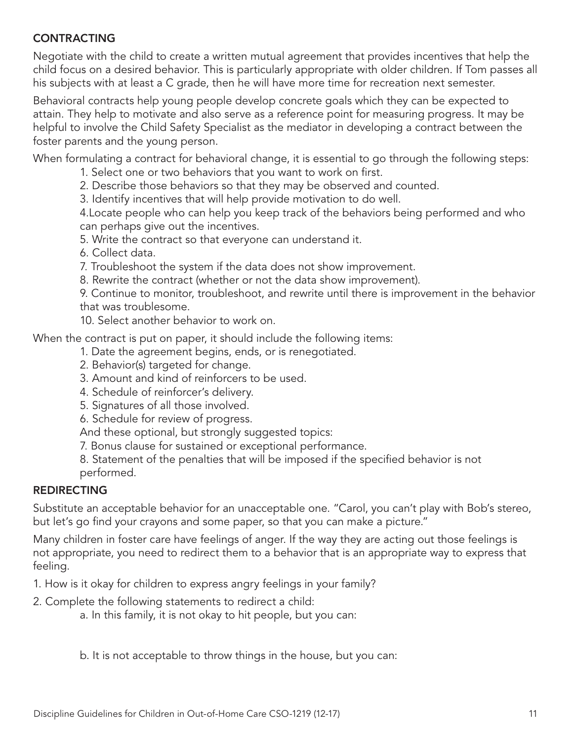# **CONTRACTING**

Negotiate with the child to create a written mutual agreement that provides incentives that help the child focus on a desired behavior. This is particularly appropriate with older children. If Tom passes all his subjects with at least a C grade, then he will have more time for recreation next semester.

Behavioral contracts help young people develop concrete goals which they can be expected to attain. They help to motivate and also serve as a reference point for measuring progress. It may be helpful to involve the Child Safety Specialist as the mediator in developing a contract between the foster parents and the young person.

When formulating a contract for behavioral change, it is essential to go through the following steps:

- 1. Select one or two behaviors that you want to work on first.
- 2. Describe those behaviors so that they may be observed and counted.

3. Identify incentives that will help provide motivation to do well.

4.Locate people who can help you keep track of the behaviors being performed and who can perhaps give out the incentives.

- 5. Write the contract so that everyone can understand it.
- 6. Collect data.
- 7. Troubleshoot the system if the data does not show improvement.
- 8. Rewrite the contract (whether or not the data show improvement).

9. Continue to monitor, troubleshoot, and rewrite until there is improvement in the behavior that was troublesome.

10. Select another behavior to work on.

When the contract is put on paper, it should include the following items:

- 1. Date the agreement begins, ends, or is renegotiated.
- 2. Behavior(s) targeted for change.
- 3. Amount and kind of reinforcers to be used.
- 4. Schedule of reinforcer's delivery.
- 5. Signatures of all those involved.
- 6. Schedule for review of progress.

And these optional, but strongly suggested topics:

- 7. Bonus clause for sustained or exceptional performance.
- 8. Statement of the penalties that will be imposed if the specified behavior is not performed.

## REDIRECTING

Substitute an acceptable behavior for an unacceptable one. "Carol, you can't play with Bob's stereo, but let's go find your crayons and some paper, so that you can make a picture."

Many children in foster care have feelings of anger. If the way they are acting out those feelings is not appropriate, you need to redirect them to a behavior that is an appropriate way to express that feeling.

1. How is it okay for children to express angry feelings in your family?

2. Complete the following statements to redirect a child:

a. In this family, it is not okay to hit people, but you can:

b. It is not acceptable to throw things in the house, but you can: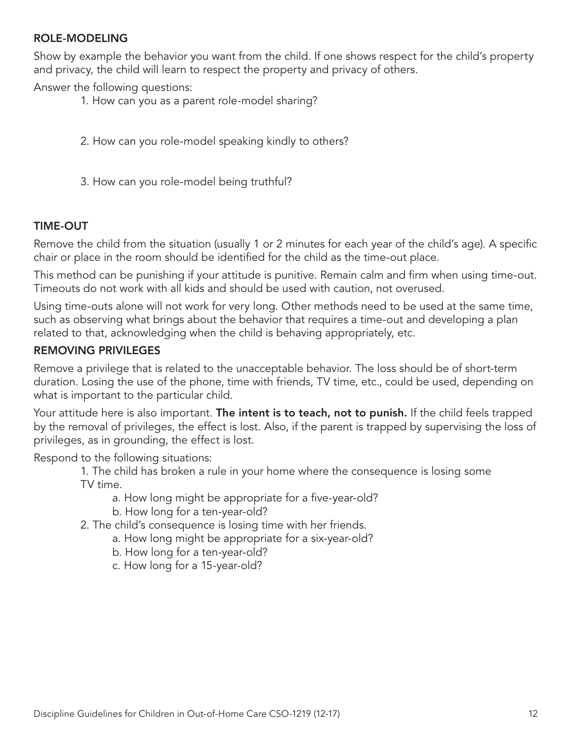#### ROLE-MODELING

Show by example the behavior you want from the child. If one shows respect for the child's property and privacy, the child will learn to respect the property and privacy of others.

Answer the following questions:

- 1. How can you as a parent role-model sharing?
- 2. How can you role-model speaking kindly to others?
- 3. How can you role-model being truthful?

## TIME-OUT

Remove the child from the situation (usually 1 or 2 minutes for each year of the child's age). A specific chair or place in the room should be identified for the child as the time-out place.

This method can be punishing if your attitude is punitive. Remain calm and firm when using time-out. Timeouts do not work with all kids and should be used with caution, not overused.

Using time-outs alone will not work for very long. Other methods need to be used at the same time, such as observing what brings about the behavior that requires a time-out and developing a plan related to that, acknowledging when the child is behaving appropriately, etc.

#### REMOVING PRIVILEGES

Remove a privilege that is related to the unacceptable behavior. The loss should be of short-term duration. Losing the use of the phone, time with friends, TV time, etc., could be used, depending on what is important to the particular child.

Your attitude here is also important. **The intent is to teach, not to punish.** If the child feels trapped by the removal of privileges, the effect is lost. Also, if the parent is trapped by supervising the loss of privileges, as in grounding, the effect is lost.

Respond to the following situations:

1. The child has broken a rule in your home where the consequence is losing some TV time.

- a. How long might be appropriate for a five-year-old?
- b. How long for a ten-year-old?
- 2. The child's consequence is losing time with her friends.
	- a. How long might be appropriate for a six-year-old?
	- b. How long for a ten-year-old?
	- c. How long for a 15-year-old?